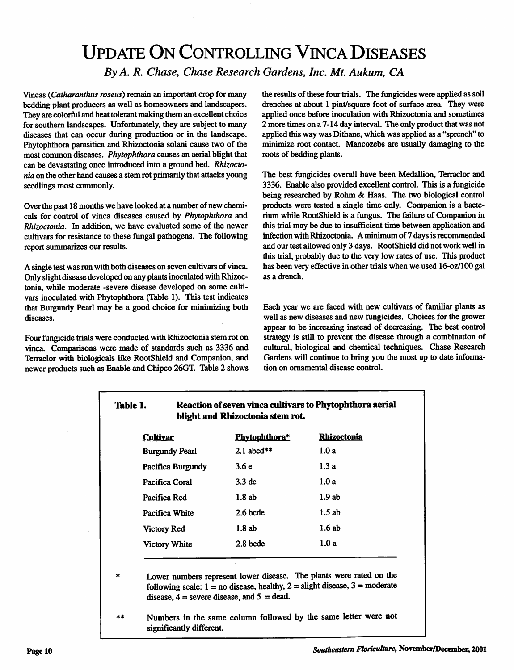## Update On Controlling VincaDiseases *By A. R. Chase, Chase Research Gardens, Inc. ML Aukum, CA*

Vincas (Catharanthus roseus) remain an important crop for many bedding plant producers as well as homeowners and landscapers. They are colorful and heat tolerant making them an excellent choice for southern landscapes. Unfortunately, they are subject to many diseases that can occur during production or in the landscape. Phytophthora parasitica and Rhizoctonia solani cause two of the most common diseases. **Phytophthora**causes an aerial blight that can be devastating once introduced into a ground bed. **Rhizocto nia**on the other hand causes a stem rot primarily that attacks young seedlings most commonly.

Over the past 18 months we have looked at a number of new chemicals for control of vinca diseases caused by **Phytophthora** and **Rhizoctonia.** In addition, we have evaluated some of the newer cultivars for resistance to these fungal pathogens. The following report summarizes our results.

A single test was run with both diseases on seven cultivars of vinca. Only slight disease developed on any plants inoculated with Rhizoctonia, while moderate -severe disease developed on some culti vars inoculated with Phytophthora (Table 1). This test indicates that Burgundy Pearl may be a good choice for minimizing both diseases.

Four fungicide trials were conducted with Rhizoctonia stem rot on vinca. Comparisons were made of standards such as 3336 and Terraclor with biologicals like RootShield and Companion, and newer products such as Enable and Chipco 26GT. Table2 shows the results of these four trials. The fungicides were applied as soil drenches at about 1 pint/square foot of surface area. They were applied once before inoculation with Rhizoctonia and sometimes 2 more times on a 7-14 day interval. The only product that was not applied this way was Dithane, which was applied as a "sprench" to minimize root contact. Mancozebs are usually damaging to the roots of bedding plants.

The best fungicides overall have been Medallion, Terraclor and 3336. Enable also provided excellent control. This is a fungicide being researched by Rohm & Haas. The two biological control products were tested a single time only. Companion is a bacte rium while RootShield is a fungus. The failure of Companion in this trial may be due to insufficient time between application and infection with Rhizoctonia. A minimum of 7 days is recommended and our test allowed only 3 days. RootShield did not work well in this trial, probably due to the very low rates of use. This product has been very effective in other trials when we used 16-oz/100 gal as a drench.

Each year we are faced with new cultivars of familiar plants as well as new diseases and new fungicides. Choices for the grower appear to be increasing instead of decreasing. The best control strategy is still to prevent the disease through a combination of cultural, biological and chemical techniques. Chase Research Gardens will continue to bring you the most up to date informa tion on ornamental disease control.

## *Table 1. Reaction ofseven vinca cultivarsto Phytophthora aerial blight and Rhizoctonia stem rot*

| <b>Cultivar</b>       | Phytophthora*     | <b>Rhizoctonia</b> |
|-----------------------|-------------------|--------------------|
| <b>Burgundy Pearl</b> | 2.1 abcd**        | 1.0a               |
| Pacifica Burgundy     | 3.6e              | 1.3a               |
| Pacifica Coral        | 3.3 <sub>de</sub> | 1.0a               |
| Pacifica Red          | 1.8ab             | 1.9ab              |
| Pacifica White        | $2.6$ bcde        | 1.5ab              |
| Victory Red           | 1.8ab             | 1.6ab              |
| <b>Victory White</b>  | 2.8 bcde          | 1.0a               |

Lower numbers represent lower disease. The plants were rated on the following scale:  $1 =$  no disease, healthy,  $2 =$  slight disease,  $3 =$  moderate disease,  $\overline{4}$  = severe disease, and  $5$  = dead.

*\*\** Numbers in the same column followed by the same letter were not significantly different.